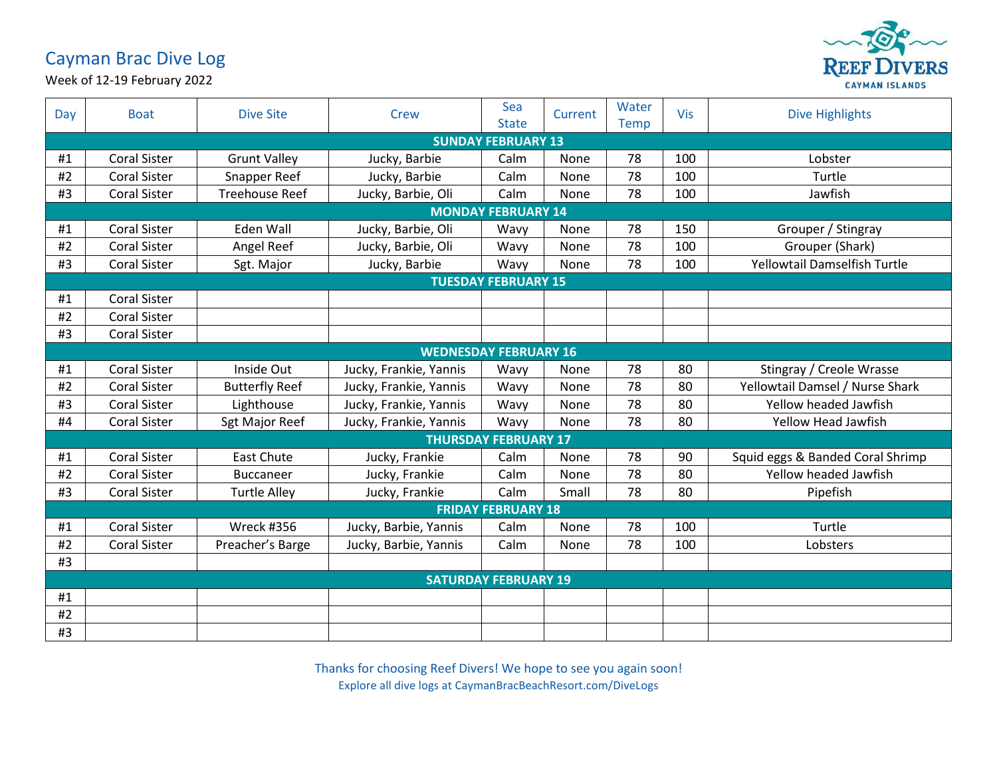## Cayman Brac Dive Log



Week of 12-19 February 2022

| Day                       | <b>Boat</b>                  | <b>Dive Site</b>      | <b>Crew</b>            | Sea<br><b>State</b> | Current | Water<br><b>Temp</b> | Vis | <b>Dive Highlights</b>           |  |  |  |
|---------------------------|------------------------------|-----------------------|------------------------|---------------------|---------|----------------------|-----|----------------------------------|--|--|--|
| <b>SUNDAY FEBRUARY 13</b> |                              |                       |                        |                     |         |                      |     |                                  |  |  |  |
| #1                        | <b>Coral Sister</b>          | <b>Grunt Valley</b>   | Jucky, Barbie          | Calm                | None    | 78                   | 100 | Lobster                          |  |  |  |
| #2                        | <b>Coral Sister</b>          | Snapper Reef          | Jucky, Barbie          | Calm                | None    | 78                   | 100 | Turtle                           |  |  |  |
| #3                        | <b>Coral Sister</b>          | <b>Treehouse Reef</b> | Jucky, Barbie, Oli     | Calm                | None    | 78                   | 100 | Jawfish                          |  |  |  |
|                           | <b>MONDAY FEBRUARY 14</b>    |                       |                        |                     |         |                      |     |                                  |  |  |  |
| #1                        | <b>Coral Sister</b>          | Eden Wall             | Jucky, Barbie, Oli     | Wavy                | None    | 78                   | 150 | Grouper / Stingray               |  |  |  |
| #2                        | <b>Coral Sister</b>          | Angel Reef            | Jucky, Barbie, Oli     | Wavy                | None    | 78                   | 100 | Grouper (Shark)                  |  |  |  |
| #3                        | <b>Coral Sister</b>          | Sgt. Major            | Jucky, Barbie          | Wavy                | None    | 78                   | 100 | Yellowtail Damselfish Turtle     |  |  |  |
|                           | <b>TUESDAY FEBRUARY 15</b>   |                       |                        |                     |         |                      |     |                                  |  |  |  |
| #1                        | <b>Coral Sister</b>          |                       |                        |                     |         |                      |     |                                  |  |  |  |
| #2                        | <b>Coral Sister</b>          |                       |                        |                     |         |                      |     |                                  |  |  |  |
| #3                        | <b>Coral Sister</b>          |                       |                        |                     |         |                      |     |                                  |  |  |  |
|                           | <b>WEDNESDAY FEBRUARY 16</b> |                       |                        |                     |         |                      |     |                                  |  |  |  |
| #1                        | <b>Coral Sister</b>          | Inside Out            | Jucky, Frankie, Yannis | Wavy                | None    | 78                   | 80  | Stingray / Creole Wrasse         |  |  |  |
| #2                        | <b>Coral Sister</b>          | <b>Butterfly Reef</b> | Jucky, Frankie, Yannis | Wavy                | None    | 78                   | 80  | Yellowtail Damsel / Nurse Shark  |  |  |  |
| #3                        | <b>Coral Sister</b>          | Lighthouse            | Jucky, Frankie, Yannis | Wavy                | None    | 78                   | 80  | Yellow headed Jawfish            |  |  |  |
| #4                        | <b>Coral Sister</b>          | Sgt Major Reef        | Jucky, Frankie, Yannis | Wavy                | None    | 78                   | 80  | Yellow Head Jawfish              |  |  |  |
|                           | <b>THURSDAY FEBRUARY 17</b>  |                       |                        |                     |         |                      |     |                                  |  |  |  |
| #1                        | <b>Coral Sister</b>          | <b>East Chute</b>     | Jucky, Frankie         | Calm                | None    | 78                   | 90  | Squid eggs & Banded Coral Shrimp |  |  |  |
| #2                        | <b>Coral Sister</b>          | <b>Buccaneer</b>      | Jucky, Frankie         | Calm                | None    | 78                   | 80  | Yellow headed Jawfish            |  |  |  |
| #3                        | <b>Coral Sister</b>          | <b>Turtle Alley</b>   | Jucky, Frankie         | Calm                | Small   | 78                   | 80  | Pipefish                         |  |  |  |
|                           | <b>FRIDAY FEBRUARY 18</b>    |                       |                        |                     |         |                      |     |                                  |  |  |  |
| #1                        | <b>Coral Sister</b>          | <b>Wreck #356</b>     | Jucky, Barbie, Yannis  | Calm                | None    | 78                   | 100 | Turtle                           |  |  |  |
| #2                        | <b>Coral Sister</b>          | Preacher's Barge      | Jucky, Barbie, Yannis  | Calm                | None    | 78                   | 100 | Lobsters                         |  |  |  |
| #3                        |                              |                       |                        |                     |         |                      |     |                                  |  |  |  |
|                           | <b>SATURDAY FEBRUARY 19</b>  |                       |                        |                     |         |                      |     |                                  |  |  |  |
| #1                        |                              |                       |                        |                     |         |                      |     |                                  |  |  |  |
| #2                        |                              |                       |                        |                     |         |                      |     |                                  |  |  |  |
| #3                        |                              |                       |                        |                     |         |                      |     |                                  |  |  |  |

Thanks for choosing Reef Divers! We hope to see you again soon! Explore all dive logs at CaymanBracBeachResort.com/DiveLogs